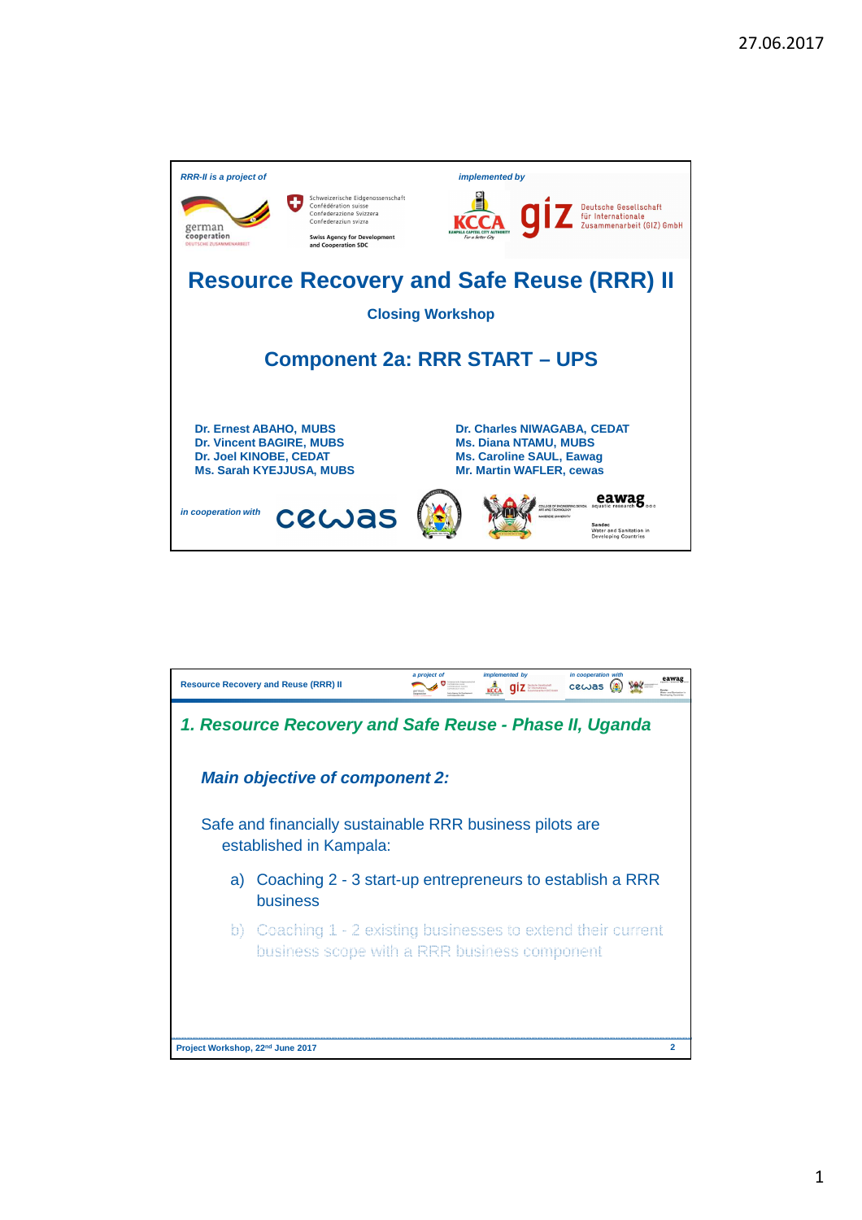

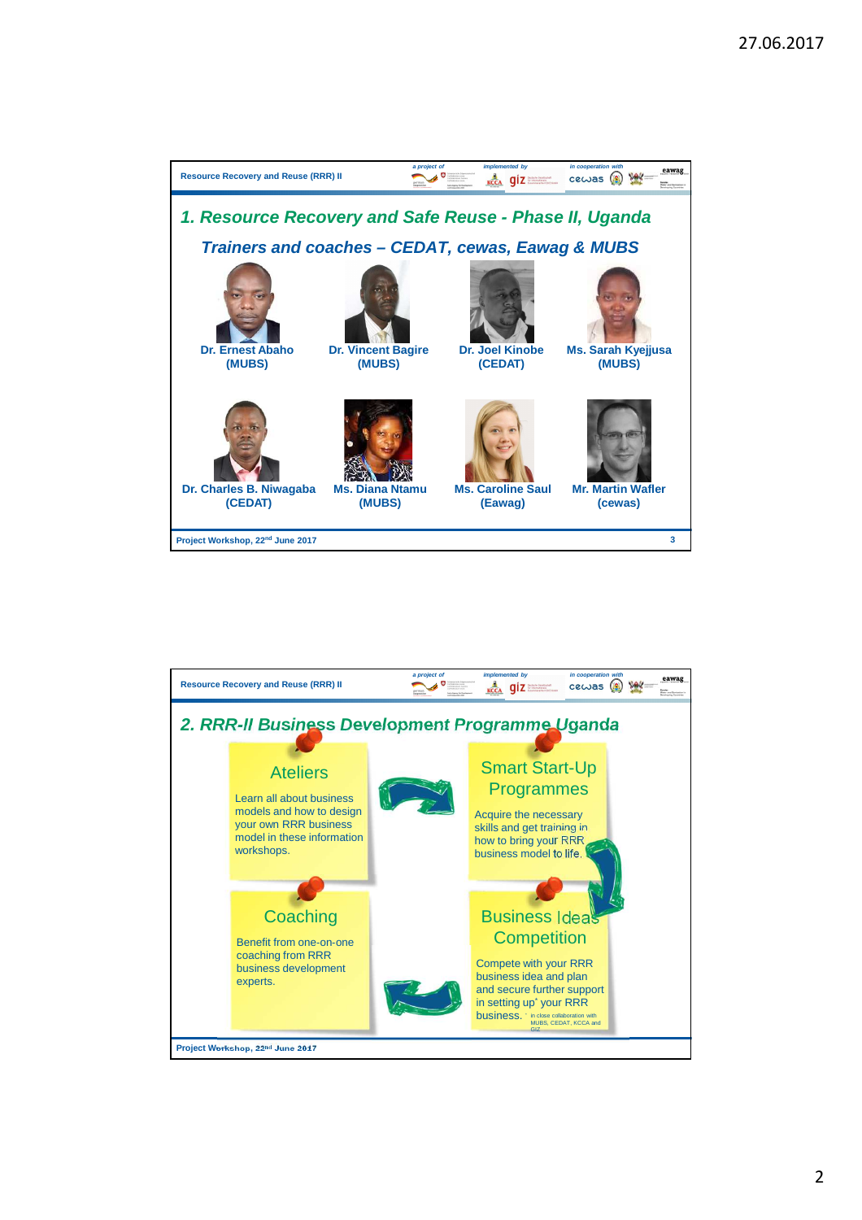

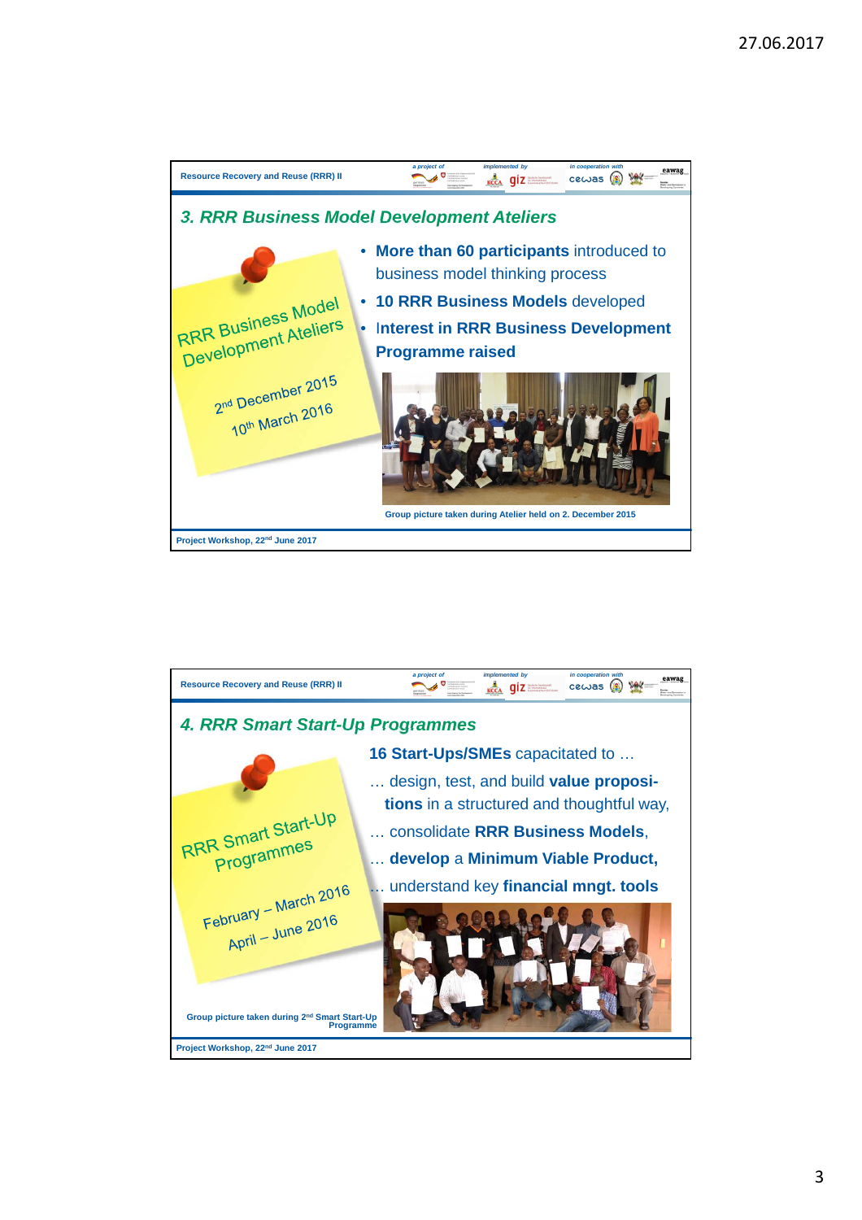

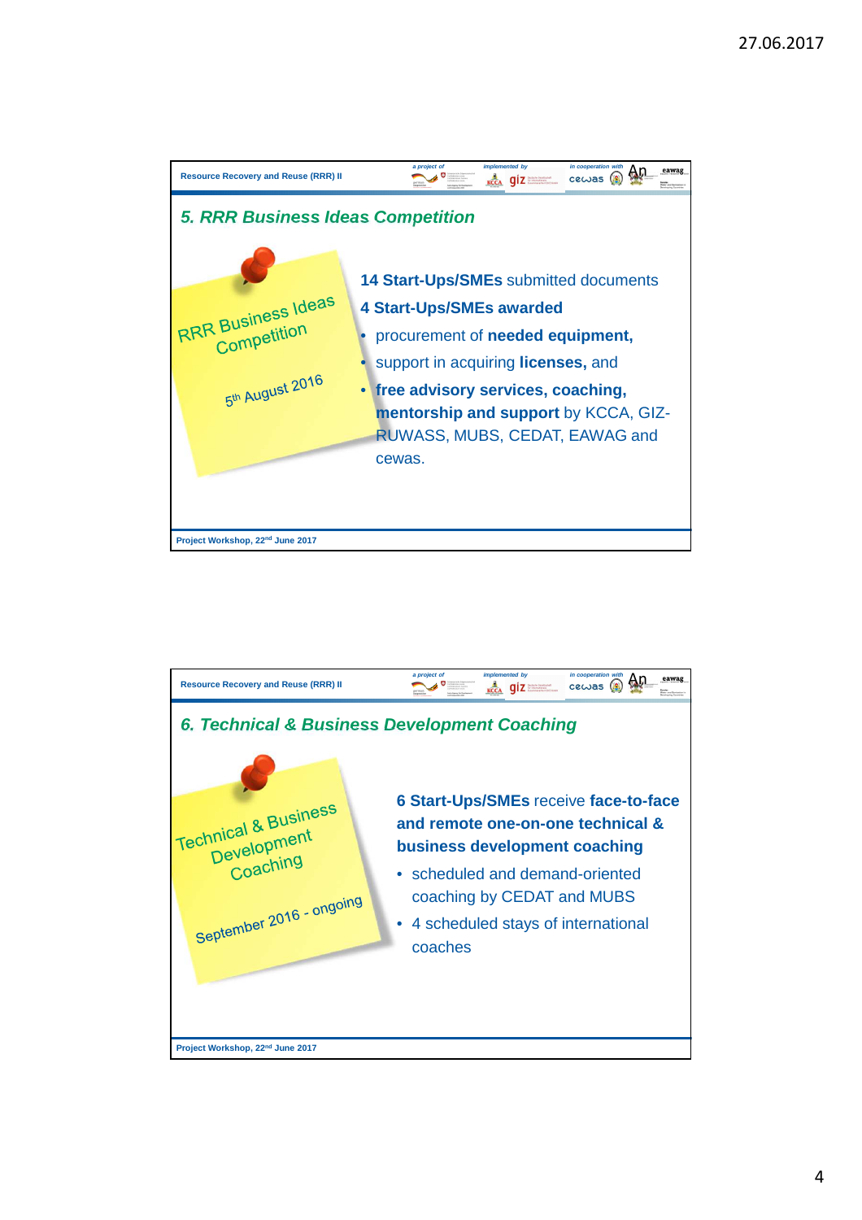

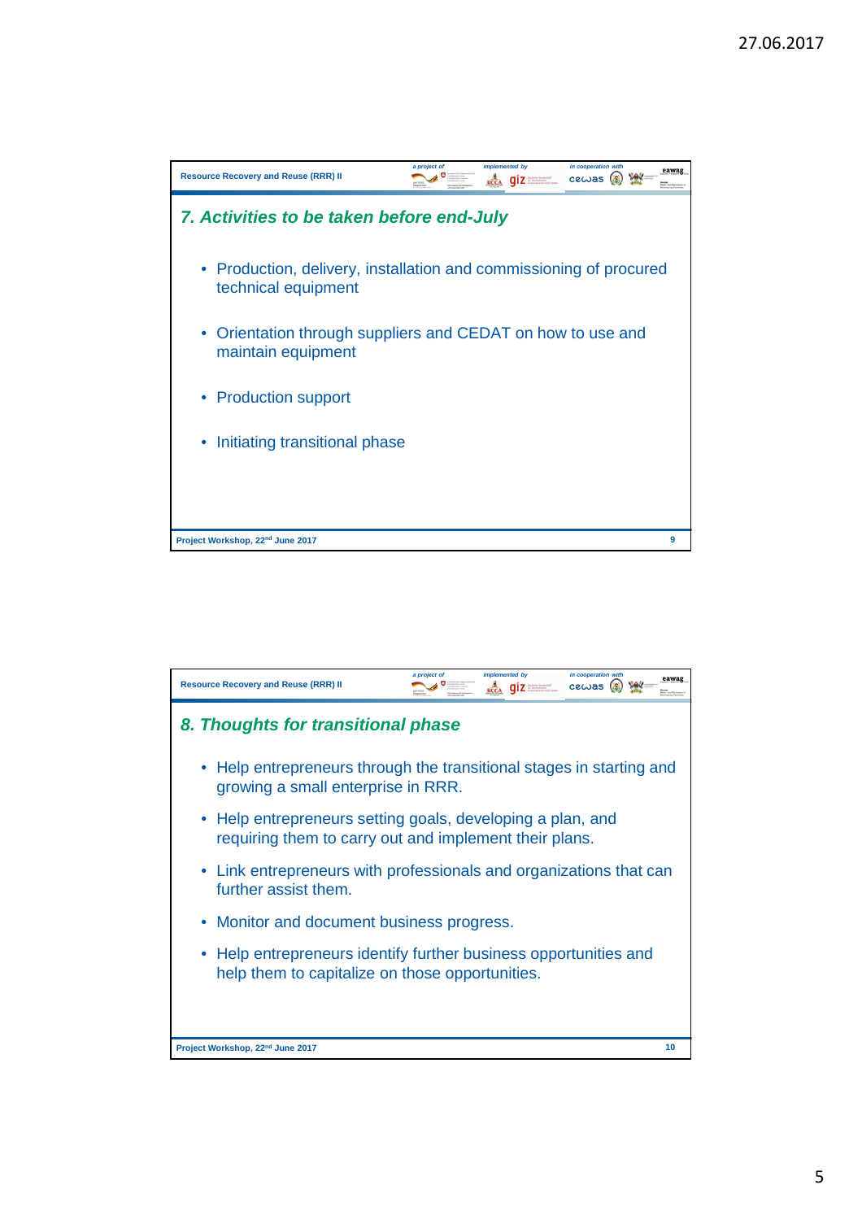